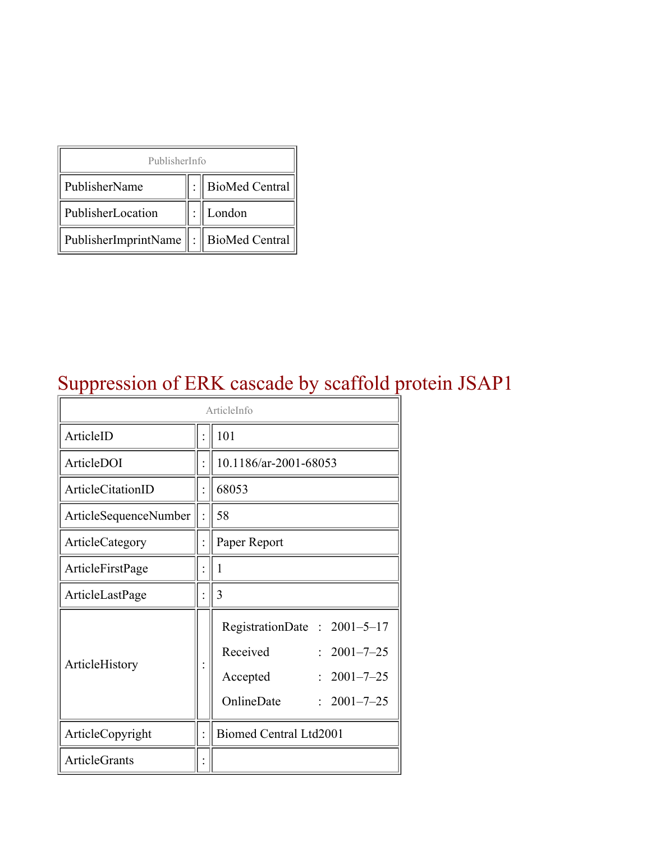| PublisherInfo                         |  |                    |  |  |
|---------------------------------------|--|--------------------|--|--|
| PublisherName                         |  | :   BioMed Central |  |  |
| PublisherLocation                     |  | London             |  |  |
| PublisherImprintName : BioMed Central |  |                    |  |  |

## Suppression of ERK cascade by scaffold protein JSAP1

| ArticleInfo           |  |                                                                                                                                |  |
|-----------------------|--|--------------------------------------------------------------------------------------------------------------------------------|--|
| ArticleID             |  | 101                                                                                                                            |  |
| ArticleDOI            |  | 10.1186/ar-2001-68053                                                                                                          |  |
| ArticleCitationID     |  | 68053                                                                                                                          |  |
| ArticleSequenceNumber |  | 58                                                                                                                             |  |
| ArticleCategory       |  | Paper Report                                                                                                                   |  |
| ArticleFirstPage      |  | 1                                                                                                                              |  |
| ArticleLastPage       |  | 3                                                                                                                              |  |
| ArticleHistory        |  | RegistrationDate: 2001-5-17<br>Received<br>$: 2001 - 7 - 25$<br>$2001 - 7 - 25$<br>Accepted<br>OnlineDate<br>$: 2001 - 7 - 25$ |  |
| ArticleCopyright      |  | Biomed Central Ltd2001                                                                                                         |  |
| <b>ArticleGrants</b>  |  |                                                                                                                                |  |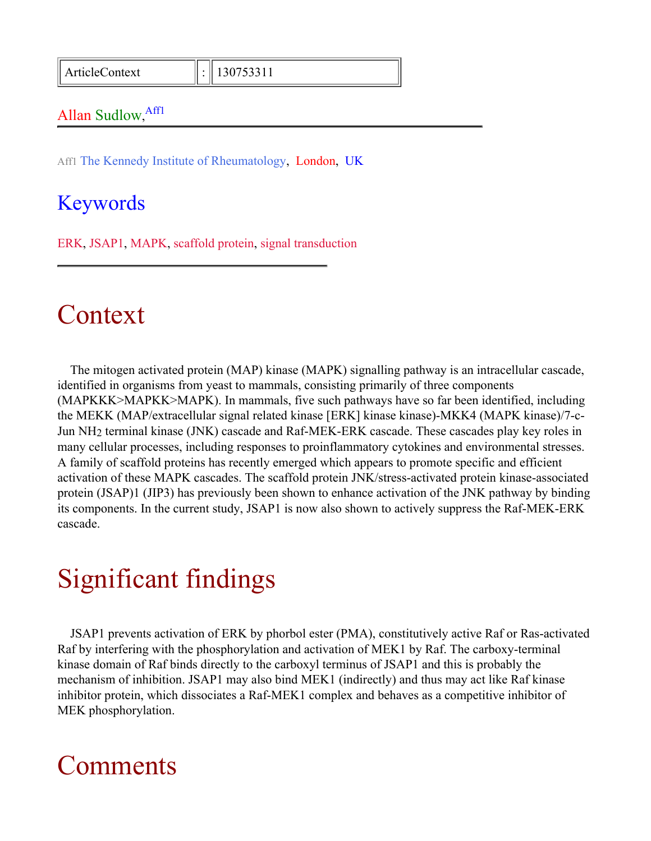ArticleContext : 130753311

#### Allan Sudlow, Affl

Aff1 The Kennedy Institute of Rheumatology, London, UK

#### Keywords

ERK, JSAP1, MAPK, scaffold protein, signal transduction

## Context

The mitogen activated protein (MAP) kinase (MAPK) signalling pathway is an intracellular cascade, identified in organisms from yeast to mammals, consisting primarily of three components (MAPKKK>MAPKK>MAPK). In mammals, five such pathways have so far been identified, including the MEKK (MAP/extracellular signal related kinase [ERK] kinase kinase)-MKK4 (MAPK kinase)/7-c-Jun NH2 terminal kinase (JNK) cascade and Raf-MEK-ERK cascade. These cascades play key roles in many cellular processes, including responses to proinflammatory cytokines and environmental stresses. A family of scaffold proteins has recently emerged which appears to promote specific and efficient activation of these MAPK cascades. The scaffold protein JNK/stress-activated protein kinase-associated protein (JSAP)1 (JIP3) has previously been shown to enhance activation of the JNK pathway by binding its components. In the current study, JSAP1 is now also shown to actively suppress the Raf-MEK-ERK cascade.

# Significant findings

JSAP1 prevents activation of ERK by phorbol ester (PMA), constitutively active Raf or Ras-activated Raf by interfering with the phosphorylation and activation of MEK1 by Raf. The carboxy-terminal kinase domain of Raf binds directly to the carboxyl terminus of JSAP1 and this is probably the mechanism of inhibition. JSAP1 may also bind MEK1 (indirectly) and thus may act like Raf kinase inhibitor protein, which dissociates a Raf-MEK1 complex and behaves as a competitive inhibitor of MEK phosphorylation.

## Comments